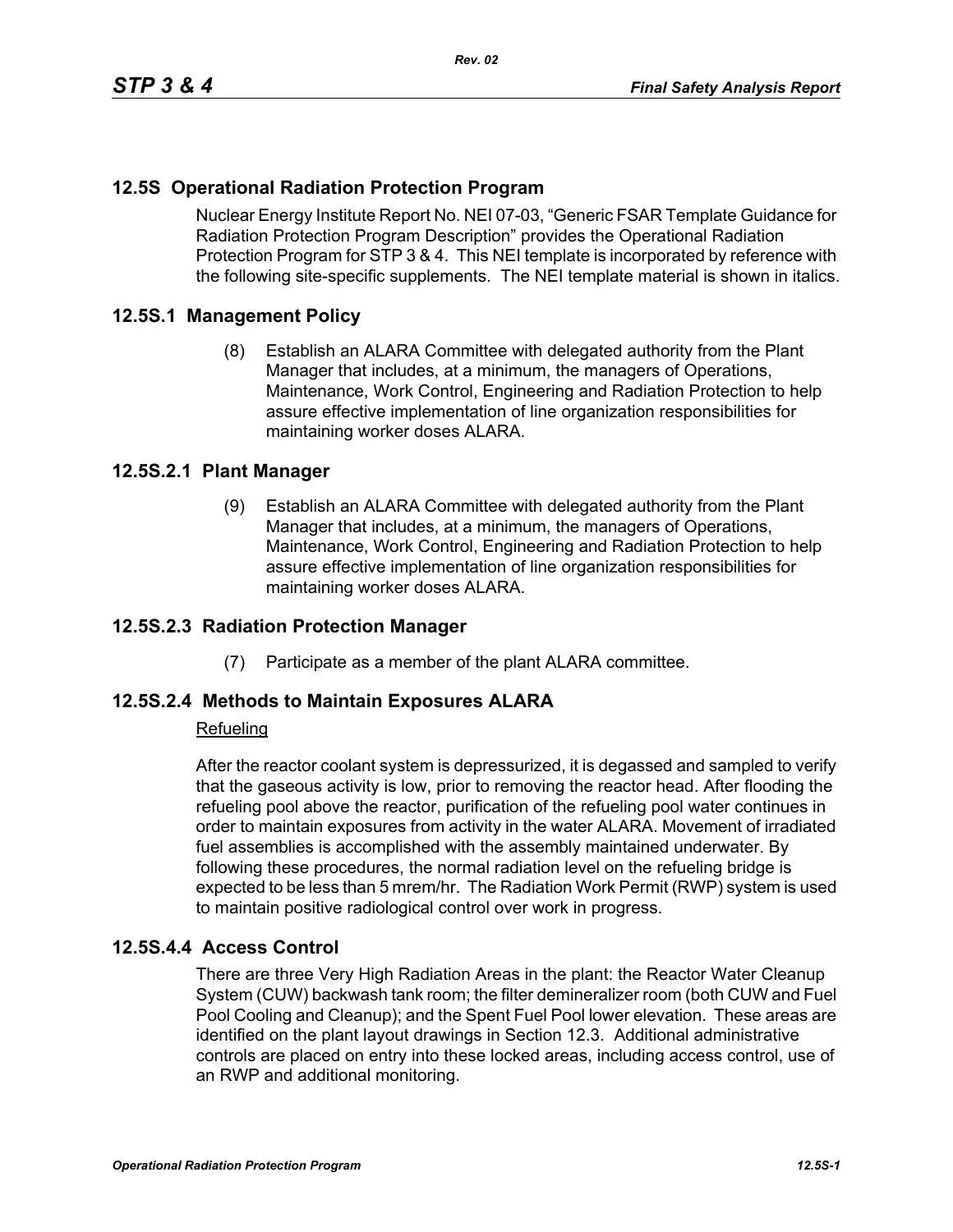# **12.5S Operational Radiation Protection Program**

Nuclear Energy Institute Report No. NEI 07-03, "Generic FSAR Template Guidance for Radiation Protection Program Description" provides the Operational Radiation Protection Program for STP 3 & 4. This NEI template is incorporated by reference with the following site-specific supplements. The NEI template material is shown in italics.

## **12.5S.1 Management Policy**

(8) Establish an ALARA Committee with delegated authority from the Plant Manager that includes, at a minimum, the managers of Operations, Maintenance, Work Control, Engineering and Radiation Protection to help assure effective implementation of line organization responsibilities for maintaining worker doses ALARA.

### **12.5S.2.1 Plant Manager**

(9) Establish an ALARA Committee with delegated authority from the Plant Manager that includes, at a minimum, the managers of Operations, Maintenance, Work Control, Engineering and Radiation Protection to help assure effective implementation of line organization responsibilities for maintaining worker doses ALARA.

### **12.5S.2.3 Radiation Protection Manager**

(7) Participate as a member of the plant ALARA committee.

### **12.5S.2.4 Methods to Maintain Exposures ALARA**

#### Refueling

After the reactor coolant system is depressurized, it is degassed and sampled to verify that the gaseous activity is low, prior to removing the reactor head. After flooding the refueling pool above the reactor, purification of the refueling pool water continues in order to maintain exposures from activity in the water ALARA. Movement of irradiated fuel assemblies is accomplished with the assembly maintained underwater. By following these procedures, the normal radiation level on the refueling bridge is expected to be less than 5 mrem/hr. The Radiation Work Permit (RWP) system is used to maintain positive radiological control over work in progress.

### **12.5S.4.4 Access Control**

There are three Very High Radiation Areas in the plant: the Reactor Water Cleanup System (CUW) backwash tank room; the filter demineralizer room (both CUW and Fuel Pool Cooling and Cleanup); and the Spent Fuel Pool lower elevation. These areas are identified on the plant layout drawings in Section 12.3. Additional administrative controls are placed on entry into these locked areas, including access control, use of an RWP and additional monitoring.